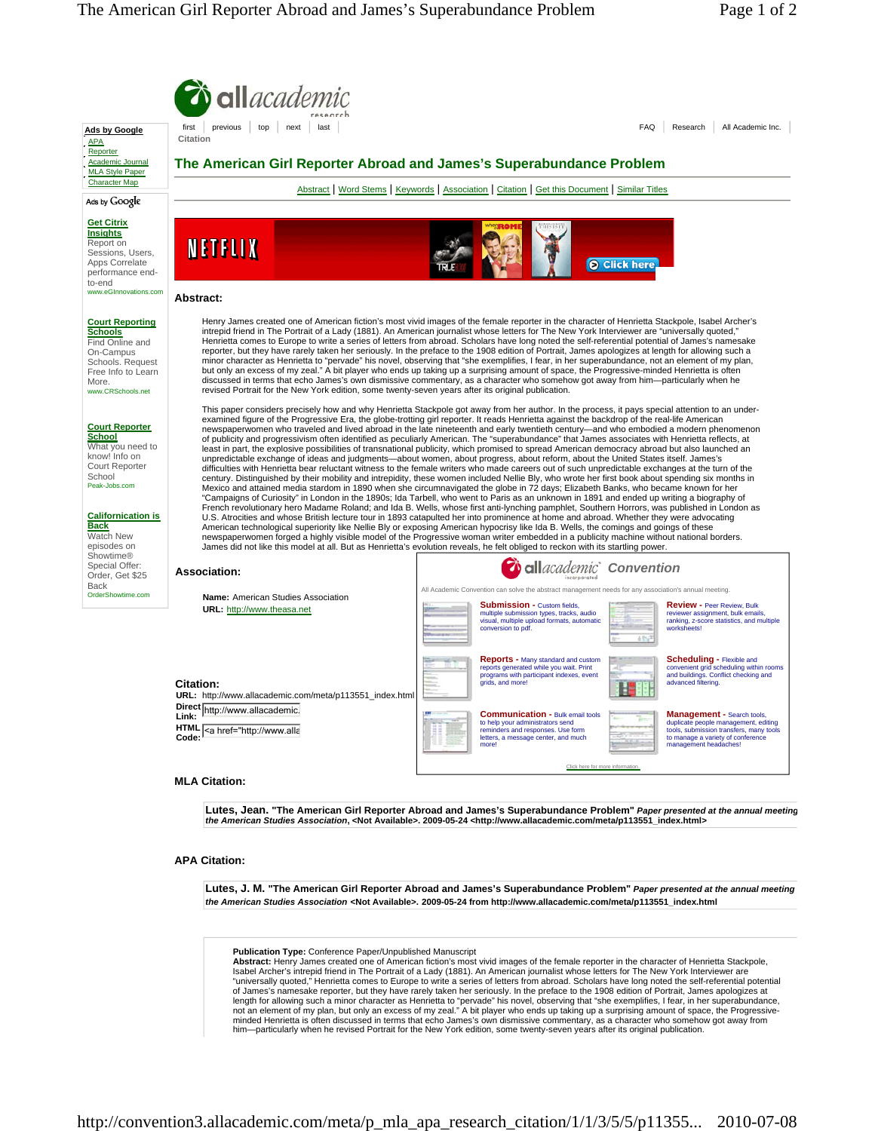

## **APA Citation:**

**Lutes, J. M. "The American Girl Reporter Abroad and James's Superabundance Problem"** *Paper presented at the annual meeting the American Studies Association* **<Not Available>. 2009-05-24 from http://www.allacademic.com/meta/p113551\_index.html**

## **Publication Type:** Conference Paper/Unpublished Manuscript

**Abstract:** Henry James created one of American fiction's most vivid images of the female reporter in the character of Henrietta Stackpole, Isabel Archer's intrepid friend in The Portrait of a Lady (1881). An American journalist whose letters for The New York Interviewer are "universally quoted," Henrietta comes to Europe to write a series of letters from abroad. Scholars have long noted the self-referential potential<br>of James's namesake reporter, but they have rarely taken her seriously. In t length for allowing such a minor character as Henrietta to "pervade" his novel, observing that "she exemplifies, I fear, in her superabundance,<br>not an element of my plan, but only an excess of my zeal." A bit player who en minded Henrietta is often discussed in terms that echo James's own dismissive commentary, as a character who somehow got away from him—particularly when he revised Portrait for the New York edition, some twenty-seven years after its original publication.